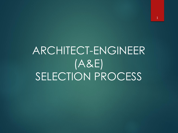# ARCHITECT-ENGINEER (A&E) SELECTION PROCESS

1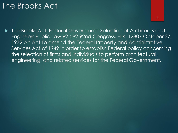## The Brooks Act

 The Brooks Act: Federal Government Selection of Architects and Engineers Public Law 92-582 92nd Congress, H.R. 12807 October 27, 1972 An Act To amend the Federal Property and Administrative Services Act of 1949 in order to establish Federal policy concerning the selection of firms and individuals to perform architectural, engineering, and related services for the Federal Government.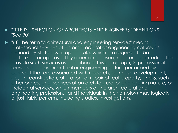#### "TITLE IX - SELECTION OF ARCHITECTS AND ENGINEERS "DEFINITIONS "Sec.901

 "(3) The term "architectural and engineering services" means - 1. professional services of an architectural or engineering nature, as defined by State law, if applicable, which are required to be performed or approved by a person licensed, registered, or certified to provide such services as described in this paragraph; 2. professional services of an architectural or engineering nature performed by contract that are associated with research, planning, development, design, construction, alteration, or repair of real property; and 3. such other professional services of an architectural or engineering nature, or incidental services, which members of the architectural and engineering professions (and individuals in their employ) may logically or justifiably perform, including studies, investigations,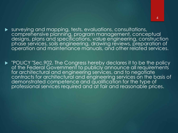surveying and mapping, tests, evaluations, consultations,

4

comprehensive planning, program management, conceptual designs, plans and specifications, value engineering, construction phase services, soils engineering, drawing reviews, preparation of operation and maintenance manuals, and other related services.

P "POLICY "Sec.902. The Congress hereby declares it to be the policy of the Federal Government to publicly announce all requirements for architectural and engineering services, and to negotiate contracts for architectural and engineering services on the basis of demonstrated competence and qualification for the type of professional services required and at fair and reasonable prices.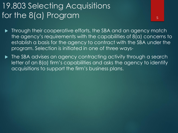## 19.803 Selecting Acquisitions for the 8(a) Program

 Through their cooperative efforts, the SBA and an agency match the agency's requirements with the capabilities of 8(a) concerns to establish a basis for the agency to contract with the SBA under the program. Selection is initiated in one of three ways-

5

▶ The SBA advises an agency contracting activity through a search letter of an 8(a) firm's capabilities and asks the agency to identify acquisitions to support the firm's business plans.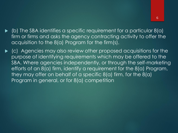- (b) The SBA identifies a specific requirement for a particular 8(a) firm or firms and asks the agency contracting activity to offer the acquisition to the 8(a) Program for the firm(s).
- (c) Agencies may also review other proposed acquisitions for the purpose of identifying requirements which may be offered to the SBA. Where agencies independently, or through the self-marketing efforts of an 8(a) firm, identify a requirement for the 8(a) Program, they may offer on behalf of a specific 8(a) firm, for the 8(a) Program in general, or for 8(a) competition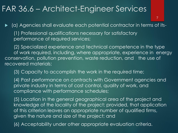### FAR 36.6 – Architect-Engineer Services

 (a) Agencies shall evaluate each potential contractor in terms of its- (1) Professional qualifications necessary for satisfactory performance of required services;

7

(2) Specialized experience and technical competence in the type of work required, including, where appropriate, experience in energy conservation, pollution prevention, waste reduction, and the use of recovered materials;

(3) Capacity to accomplish the work in the required time;

(4) Past performance on contracts with Government agencies and private industry in terms of cost control, quality of work, and compliance with performance schedules;

(5) Location in the general geographical area of the project and knowledge of the locality of the project; provided, that application of this criterion leaves an appropriate number of qualified firms, given the nature and size of the project; and

(6) Acceptability under other appropriate evaluation criteria.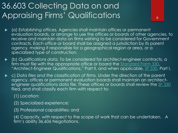# 36.603 Collecting Data on and Appraising Firms' Qualifications

 (a) *Establishing offices.* Agencies shall maintain offices or permanent evaluation boards, or arrange to use the offices or boards of other agencies, to receive and maintain data on firms wishing to be considered for Government contracts. Each office or board shall be assigned a jurisdiction by its parent agency, making it responsible for a geographical region or area, or a specialized type of construction.

8

- (b) *Qualifications data.* To be considered for architect-engineer contracts, a firm must file with the appropriate office or board the **[Standard Form 330](https://www.acquisition.gov/sites/default/files/current/far/html/FormsStandard27.html#wp1176776)**, "Architect-Engineer Qualifications," Part II, and when applicable, [SF 330](https://www.acquisition.gov/sites/default/files/current/far/html/FormsStandard27.html#wp1176776), Part I.
- c) *Data files and the classification of firms.* Under the direction of the parent agency, offices or permanent evaluation boards shall maintain an architect-engineer qualifications data file. These offices or boards shall review the [SF 330](https://www.acquisition.gov/sites/default/files/current/far/html/FormsStandard27.html#wp1176776) filed, and shall classify each firm with respect to-
	- (1) Location;
	- (2) Specialized experience;
	- (3) Professional capabilities; and

(4) Capacity, with respect to the scope of work that can be undertaken. A firm's ability 36.606 Negotiations.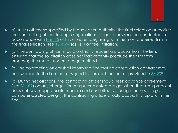- a) Unless otherwise specified by the selection authority, the final selection authorizes the contracting officer to begin negotiations. Negotiations shall be conducted in accordance with **[Part 15](https://www.acquisition.gov/sites/default/files/current/far/html/FARTOCP15.html#wp246607)** of this chapter, beginning with the most preferred firm in the final selection (see  $15.404-4$ (c)(4)(i) on fee limitation).
- (b) The contracting officer should ordinarily request a proposal from the firm, ensuring that the solicitation does not inadvertently preclude the firm from proposing the use of modern design methods.
- $\blacktriangleright$  (c) The contracting officer shall inform the firm that no construction contract may be awarded to the firm that designed the project, except as provided in [36.209](https://www.acquisition.gov/sites/default/files/current/far/html/Subpart 36_2.html#wp1084291).
- (d) During negotiations, the contracting officer should seek advance agreement (see [31.109](https://www.acquisition.gov/sites/default/files/current/far/html/Subpart 31_1.html#wp1089616)) on any charges for computer-assisted design. When the firm's proposal does not cover appropriate modern and cost-effective design methods (*e.g.,*  computer-assisted design), the contracting officer should discuss this topic with the firm.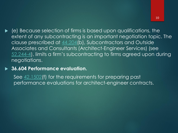(e) Because selection of firms is based upon qualifications, the extent of any subcontracting is an important negotiation topic. The clause prescribed at [44.204\(](https://www.acquisition.gov/sites/default/files/current/far/html/Subpart 44_2.html#wp1075060)b), Subcontractors and Outside Associates and Consultants (Architect-Engineer Services) (see [52.244-4](https://www.acquisition.gov/sites/default/files/current/far/html/52_241_244.html#wp1129128)), limits a firm's subcontracting to firms agreed upon during negotiations.

#### **36.604 Performance evaluation.**

See  $42.1502$  (f) for the requirements for preparing past performance evaluations for architect-engineer contracts.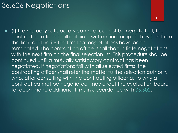### 36.606 Negotiations

11

 (f) If a mutually satisfactory contract cannot be negotiated, the contracting officer shall obtain a written final proposal revision from the firm, and notify the firm that negotiations have been terminated. The contracting officer shall then initiate negotiations with the next firm on the final selection list. This procedure shall be continued until a mutually satisfactory contract has been negotiated. If negotiations fail with all selected firms, the contracting officer shall refer the matter to the selection authority who, after consulting with the contracting officer as to why a contract cannot be negotiated, may direct the evaluation board to recommend additional firms in accordance with [36.602](https://www.acquisition.gov/sites/default/files/current/far/html/Subpart 36_6.html#wp1075568).